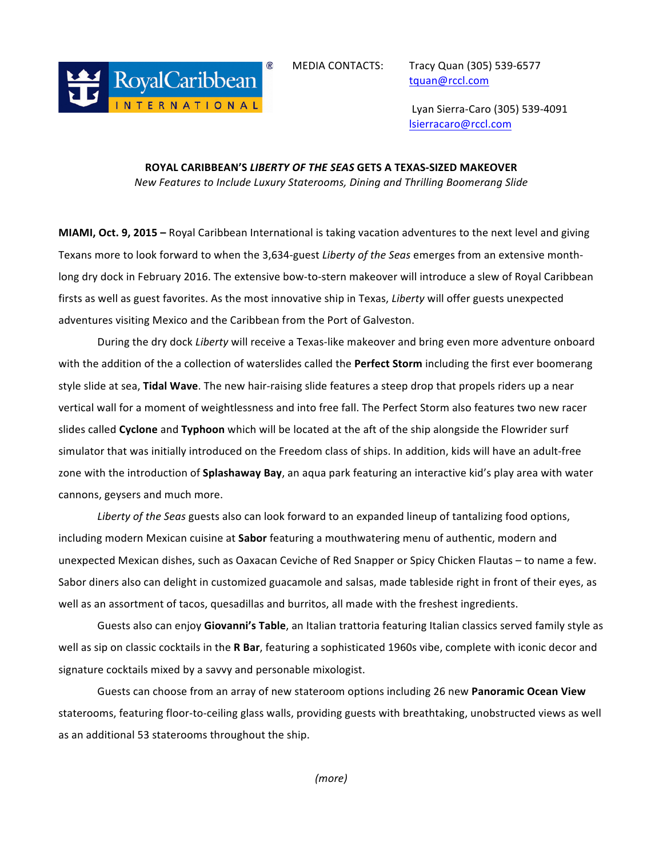

tquan@rccl.com

 Lyan Sierra-Caro (305) 539-4091 lsierracaro@rccl.com

## **ROYAL CARIBBEAN'S** *LIBERTY OF THE SEAS* **GETS A TEXAS-SIZED MAKEOVER** *New Features to Include Luxury Staterooms, Dining and Thrilling Boomerang Slide*

**MIAMI, Oct. 9, 2015** – Royal Caribbean International is taking vacation adventures to the next level and giving Texans more to look forward to when the 3,634-guest *Liberty of the Seas* emerges from an extensive monthlong dry dock in February 2016. The extensive bow-to-stern makeover will introduce a slew of Royal Caribbean firsts as well as guest favorites. As the most innovative ship in Texas, *Liberty* will offer guests unexpected adventures visiting Mexico and the Caribbean from the Port of Galveston.

During the dry dock *Liberty* will receive a Texas-like makeover and bring even more adventure onboard with the addition of the a collection of waterslides called the **Perfect Storm** including the first ever boomerang style slide at sea, Tidal Wave. The new hair-raising slide features a steep drop that propels riders up a near vertical wall for a moment of weightlessness and into free fall. The Perfect Storm also features two new racer slides called **Cyclone** and **Typhoon** which will be located at the aft of the ship alongside the Flowrider surf simulator that was initially introduced on the Freedom class of ships. In addition, kids will have an adult-free zone with the introduction of **Splashaway Bay**, an aqua park featuring an interactive kid's play area with water cannons, geysers and much more.

Liberty of the Seas guests also can look forward to an expanded lineup of tantalizing food options, including modern Mexican cuisine at **Sabor** featuring a mouthwatering menu of authentic, modern and unexpected Mexican dishes, such as Oaxacan Ceviche of Red Snapper or Spicy Chicken Flautas – to name a few. Sabor diners also can delight in customized guacamole and salsas, made tableside right in front of their eyes, as well as an assortment of tacos, quesadillas and burritos, all made with the freshest ingredients.

Guests also can enjoy Giovanni's Table, an Italian trattoria featuring Italian classics served family style as well as sip on classic cocktails in the **R Bar**, featuring a sophisticated 1960s vibe, complete with iconic decor and signature cocktails mixed by a savvy and personable mixologist.

Guests can choose from an array of new stateroom options including 26 new Panoramic Ocean View staterooms, featuring floor-to-ceiling glass walls, providing guests with breathtaking, unobstructed views as well as an additional 53 staterooms throughout the ship.

*(more)*